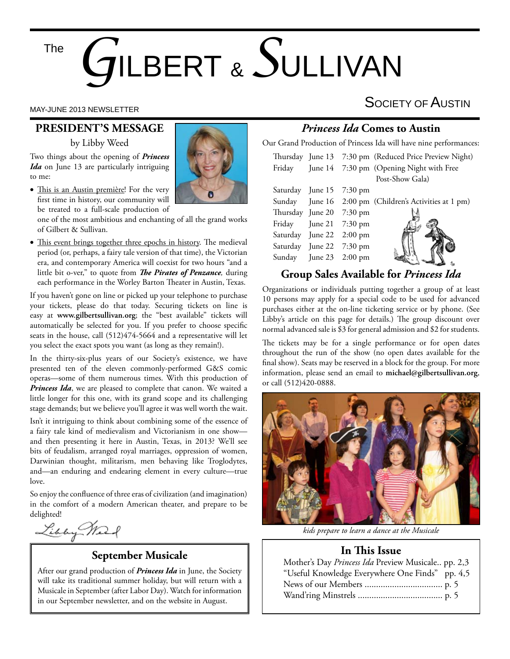The

# *G*ILBERT & *S*ULLIVAN

#### **PRESIDENT'S MESSAGE**

by Libby Weed

Two things about the opening of *Princess Ida* on June 13 are particularly intriguing to me:

• This is an Austin première! For the very first time in history, our community will be treated to a full-scale production of

one of the most ambitious and enchanting of all the grand works of Gilbert & Sullivan.

• This event brings together three epochs in history. The medieval period (or, perhaps, a fairy tale version of that time), the Victorian era, and contemporary America will coexist for two hours "and a little bit o-ver," to quote from *The Pirates of Penzance*, during each performance in the Worley Barton Theater in Austin, Texas.

If you haven't gone on line or picked up your telephone to purchase your tickets, please do that today. Securing tickets on line is easy at **www.gilbertsullivan.org**; the "best available" tickets will automatically be selected for you. If you prefer to choose specific seats in the house, call (512)474-5664 and a representative will let you select the exact spots you want (as long as they remain!).

In the thirty-six-plus years of our Society's existence, we have presented ten of the eleven commonly-performed G&S comic operas—some of them numerous times. With this production of *Princess Ida*, we are pleased to complete that canon. We waited a little longer for this one, with its grand scope and its challenging stage demands; but we believe you'll agree it was well worth the wait.

Isn't it intriguing to think about combining some of the essence of a fairy tale kind of medievalism and Victorianism in one show and then presenting it here in Austin, Texas, in 2013? We'll see bits of feudalism, arranged royal marriages, oppression of women, Darwinian thought, militarism, men behaving like Troglodytes, and—an enduring and endearing element in every culture—true love.

So enjoy the confluence of three eras of civilization (and imagination) in the comfort of a modern American theater, and prepare to be delighted!

Libby Mart

### **September Musicale**

After our grand production of *Princess Ida* in June, the Society will take its traditional summer holiday, but will return with a Musicale in September (after Labor Day). Watch for information in our September newsletter, and on the website in August.

# MAY-JUNE 2013 NEWSLETTER SOCIETY OF  $\overline{\mathsf{A}}$ USTIN

#### *Princess Ida* **Comes to Austin**

Our Grand Production of Princess Ida will have nine performances:

|                          |                          | Thursday June 13 7:30 pm (Reduced Price Preview Night)<br>Friday June 14 7:30 pm (Opening Night with Free |
|--------------------------|--------------------------|-----------------------------------------------------------------------------------------------------------|
|                          |                          | Post-Show Gala)                                                                                           |
|                          | Saturday June 15 7:30 pm |                                                                                                           |
|                          |                          | Sunday June 16 2:00 pm (Children's Activities at 1 pm)                                                    |
| Thursday June 20 7:30 pm |                          |                                                                                                           |
|                          | Friday June 21 7:30 pm   |                                                                                                           |
|                          | Saturday June 22 2:00 pm |                                                                                                           |
|                          | Saturday June 22 7:30 pm |                                                                                                           |
|                          | Sunday June 23 2:00 pm   |                                                                                                           |
|                          |                          |                                                                                                           |

#### **Group Sales Available for** *Princess Ida*

Organizations or individuals putting together a group of at least 10 persons may apply for a special code to be used for advanced purchases either at the on-line ticketing service or by phone. (See Libby's article on this page for details.) The group discount over normal advanced sale is \$3 for general admission and \$2 for students.

The tickets may be for a single performance or for open dates throughout the run of the show (no open dates available for the final show). Seats may be reserved in a block for the group. For more information, please send an email to **michael@gilbertsullivan.org**, or call (512)420-0888.



*kids prepare to learn a dance at the Musicale*

#### **In This Issue**

| Mother's Day Princess Ida Preview Musicale pp. 2,3 |  |
|----------------------------------------------------|--|
| "Useful Knowledge Everywhere One Finds" pp. 4,5    |  |
|                                                    |  |
|                                                    |  |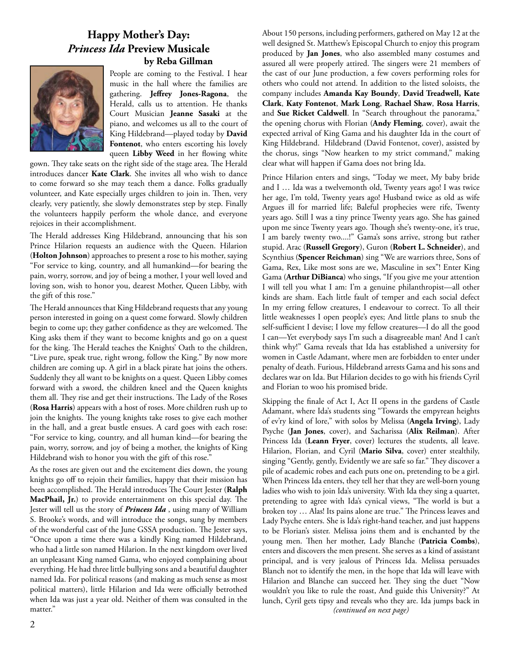#### **Happy Mother's Day:**  *Princess Ida* **Preview Musicale by Reba Gillman**



People are coming to the Festival. I hear music in the hall where the families are gathering. **Jeffrey Jones-Ragona**, the Herald, calls us to attention. He thanks Court Musician **Jeanne Sasaki** at the piano, and welcomes us all to the court of King Hildebrand—played today by **David Fontenot**, who enters escorting his lovely queen **Libby Weed** in her flowing white

gown. They take seats on the right side of the stage area. The Herald introduces dancer **Kate Clark**. She invites all who wish to dance to come forward so she may teach them a dance. Folks gradually volunteer, and Kate especially urges children to join in. Then, very clearly, very patiently, she slowly demonstrates step by step. Finally the volunteers happily perform the whole dance, and everyone rejoices in their accomplishment.

The Herald addresses King Hildebrand, announcing that his son Prince Hilarion requests an audience with the Queen. Hilarion (**Holton Johnson**) approaches to present a rose to his mother, saying "For service to king, country, and all humankind—for bearing the pain, worry, sorrow, and joy of being a mother, I your well loved and loving son, wish to honor you, dearest Mother, Queen Libby, with the gift of this rose."

The Herald announces that King Hildebrand requests that any young person interested in going on a quest come forward. Slowly children begin to come up; they gather confidence as they are welcomed. The King asks them if they want to become knights and go on a quest for the king. The Herald teaches the Knights' Oath to the children, "Live pure, speak true, right wrong, follow the King." By now more children are coming up. A girl in a black pirate hat joins the others. Suddenly they all want to be knights on a quest. Queen Libby comes forward with a sword, the children kneel and the Queen knights them all. They rise and get their instructions. The Lady of the Roses (**Rosa Harris**) appears with a host of roses. More children rush up to join the knights. The young knights take roses to give each mother in the hall, and a great bustle ensues. A card goes with each rose: "For service to king, country, and all human kind—for bearing the pain, worry, sorrow, and joy of being a mother, the knights of King Hildebrand wish to honor you with the gift of this rose."

As the roses are given out and the excitement dies down, the young knights go off to rejoin their families, happy that their mission has been accomplished. The Herald introduces The Court Jester (Ralph MacPhail, Jr.) to provide entertainment on this special day. The Jester will tell us the story of *Princess Ida* , using many of William S. Brooke's words, and will introduce the songs, sung by members of the wonderful cast of the June GSSA production. The Jester says, "Once upon a time there was a kindly King named Hildebrand, who had a little son named Hilarion. In the next kingdom over lived an unpleasant King named Gama, who enjoyed complaining about everything. He had three little bullying sons and a beautiful daughter named Ida. For political reasons (and making as much sense as most political matters), little Hilarion and Ida were officially betrothed when Ida was just a year old. Neither of them was consulted in the matter."

About 150 persons, including performers, gathered on May 12 at the well designed St. Matthew's Episcopal Church to enjoy this program produced by **Jan Jones**, who also assembled many costumes and assured all were properly attired. The singers were 21 members of the cast of our June production, a few covers performing roles for others who could not attend. In addition to the listed soloists, the company includes **Amanda Kay Boundy**, **David Treadwell, Kate Clark**, **Katy Fontenot**, **Mark Long**, **Rachael Shaw**, **Rosa Harris**, and **Sue Ricket Caldwell**. In "Search throughout the panorama," the opening chorus with Florian (**Andy Fleming**, cover), await the expected arrival of King Gama and his daughter Ida in the court of King Hildebrand. Hildebrand (David Fontenot, cover), assisted by the chorus, sings "Now hearken to my strict command," making clear what will happen if Gama does not bring Ida.

Prince Hilarion enters and sings, "Today we meet, My baby bride and I … Ida was a twelvemonth old, Twenty years ago! I was twice her age, I'm told, Twenty years ago! Husband twice as old as wife Argues ill for married life; Baleful prophecies were rife, Twenty years ago. Still I was a tiny prince Twenty years ago. She has gained upon me since Twenty years ago. Though she's twenty-one, it's true, I am barely twenty two....!" Gama's sons arrive, strong but rather stupid. Arac (**Russell Gregory**), Guron (**Robert L. Schneider**), and Scynthius (**Spencer Reichman**) sing "We are warriors three, Sons of Gama, Rex, Like most sons are we, Masculine in sex"! Enter King Gama (**Arthur DiBianca**) who sings, "If you give me your attention I will tell you what I am: I'm a genuine philanthropist—all other kinds are sham. Each little fault of temper and each social defect In my erring fellow creatures, I endeavour to correct. To all their little weaknesses I open people's eyes; And little plans to snub the self-sufficient I devise; I love my fellow creatures—I do all the good I can—Yet everybody says I'm such a disagreeable man! And I can't think why!" Gama reveals that Ida has established a university for women in Castle Adamant, where men are forbidden to enter under penalty of death. Furious, Hildebrand arrests Gama and his sons and declares war on Ida. But Hilarion decides to go with his friends Cyril and Florian to woo his promised bride.

Skipping the finale of Act I, Act II opens in the gardens of Castle Adamant, where Ida's students sing "Towards the empyrean heights of ev'ry kind of lore," with solos by Melissa (**Angela Irving**), Lady Psyche (**Jan Jones**, cover), and Sacharissa (**Alix Reilman**). After Princess Ida (**Leann Fryer**, cover) lectures the students, all leave. Hilarion, Florian, and Cyril (**Mario Silva**, cover) enter stealthily, singing "Gently, gently, Evidently we are safe so far." They discover a pile of academic robes and each puts one on, pretending to be a girl. When Princess Ida enters, they tell her that they are well-born young ladies who wish to join Ida's university. With Ida they sing a quartet, pretending to agree with Ida's cynical views, "The world is but a broken toy ... Alas! Its pains alone are true." The Princess leaves and Lady Psyche enters. She is Ida's right-hand teacher, and just happens to be Florian's sister. Melissa joins them and is enchanted by the young men. Then her mother, Lady Blanche (Patricia Combs), enters and discovers the men present. She serves as a kind of assistant principal, and is very jealous of Princess Ida. Melissa persuades Blanch not to identify the men, in the hope that Ida will leave with Hilarion and Blanche can succeed her. They sing the duet "Now wouldn't you like to rule the roast, And guide this University?" At lunch, Cyril gets tipsy and reveals who they are. Ida jumps back in *(continued on next page)*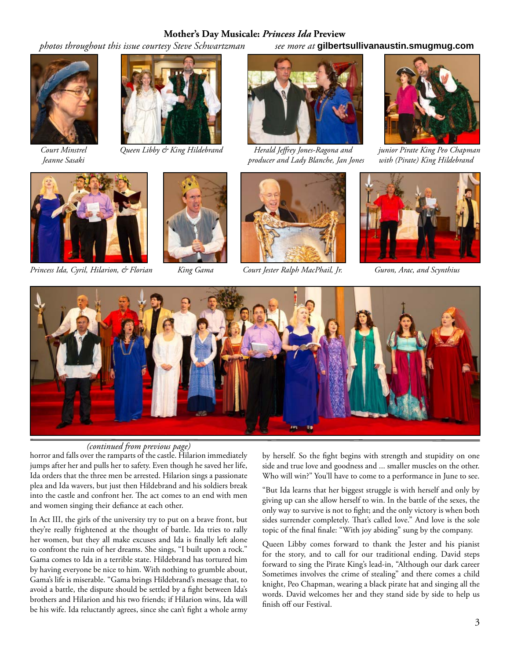#### **Mother's Day Musicale:** *Princess Ida* **Preview**

 *photos throughout this issue courtesy Steve Schwartzman see more at* **gilbertsullivanaustin.smugmug.com**







 *Court Minstrel Queen Libby & King Hildebrand Herald Jeff rey Jones-Ragona and junior Pirate King Peo Chapman Jeanne Sasaki producer and Lady Blanche, Jan Jones with (Pirate) King Hildebrand*





*Princess Ida, Cyril, Hilarion, & Florian King Gama Court Jester Ralph MacPhail, Jr. Guron, Arac, and Scynthius*









#### *(continued from previous page)*

horror and falls over the ramparts of the castle. Hilarion immediately jumps after her and pulls her to safety. Even though he saved her life, Ida orders that the three men be arrested. Hilarion sings a passionate plea and Ida wavers, but just then Hildebrand and his soldiers break into the castle and confront her. The act comes to an end with men and women singing their defiance at each other.

In Act III, the girls of the university try to put on a brave front, but they're really frightened at the thought of battle. Ida tries to rally her women, but they all make excuses and Ida is finally left alone to confront the ruin of her dreams. She sings, "I built upon a rock." Gama comes to Ida in a terrible state. Hildebrand has tortured him by having everyone be nice to him. With nothing to grumble about, Gama's life is miserable. "Gama brings Hildebrand's message that, to avoid a battle, the dispute should be settled by a fight between Ida's brothers and Hilarion and his two friends; if Hilarion wins, Ida will be his wife. Ida reluctantly agrees, since she can't fight a whole army by herself. So the fight begins with strength and stupidity on one side and true love and goodness and ... smaller muscles on the other. Who will win?" You'll have to come to a performance in June to see.

"But Ida learns that her biggest struggle is with herself and only by giving up can she allow herself to win. In the battle of the sexes, the only way to survive is not to fight; and the only victory is when both sides surrender completely. That's called love." And love is the sole topic of the final finale: "With joy abiding" sung by the company.

Queen Libby comes forward to thank the Jester and his pianist for the story, and to call for our traditional ending. David steps forward to sing the Pirate King's lead-in, "Although our dark career Sometimes involves the crime of stealing" and there comes a child knight, Peo Chapman, wearing a black pirate hat and singing all the words. David welcomes her and they stand side by side to help us finish off our Festival.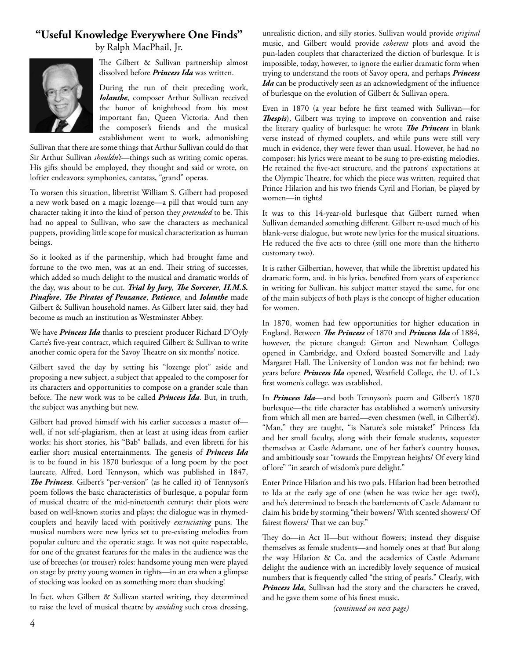#### **"Useful Knowledge Everywhere One Finds"**

by Ralph MacPhail, Jr.



The Gilbert & Sullivan partnership almost dissolved before *Princess Ida* was written.

During the run of their preceding work, *Iolanthe*, composer Arthur Sullivan received the honor of knighthood from his most important fan, Queen Victoria. And then the composer's friends and the musical establishment went to work, admonishing

Sullivan that there are some things that Arthur Sullivan could do that Sir Arthur Sullivan *shouldn't*—things such as writing comic operas. His gifts should be employed, they thought and said or wrote, on loftier endeavors: symphonies, cantatas, "grand" operas.

To worsen this situation, librettist William S. Gilbert had proposed a new work based on a magic lozenge—a pill that would turn any character taking it into the kind of person they *pretended* to be. This had no appeal to Sullivan, who saw the characters as mechanical puppets, providing little scope for musical characterization as human beings.

So it looked as if the partnership, which had brought fame and fortune to the two men, was at an end. Their string of successes, which added so much delight to the musical and dramatic worlds of the day, was about to be cut. *Trial by Jury*, *The Sorcerer*, *H.M.S.* **Pinafore, The Pirates of Penzance, Patience, and Iolanthe** made Gilbert & Sullivan household names. As Gilbert later said, they had become as much an institution as Westminster Abbey.

We have *Princess Ida* thanks to prescient producer Richard D'Oyly Carte's five-year contract, which required Gilbert & Sullivan to write another comic opera for the Savoy Theatre on six months' notice.

Gilbert saved the day by setting his "lozenge plot" aside and proposing a new subject, a subject that appealed to the composer for its characters and opportunities to compose on a grander scale than before. The new work was to be called *Princess Ida*. But, in truth, the subject was anything but new.

Gilbert had proved himself with his earlier successes a master of well, if not self-plagiarism, then at least at using ideas from earlier works: his short stories, his "Bab" ballads, and even libretti for his earlier short musical entertainments. The genesis of *Princess Ida* is to be found in his 1870 burlesque of a long poem by the poet laureate, Alfred, Lord Tennyson, which was published in 1847, The Princess. Gilbert's "per-version" (as he called it) of Tennyson's poem follows the basic characteristics of burlesque, a popular form of musical theatre of the mid-nineteenth century: their plots were based on well-known stories and plays; the dialogue was in rhymedcouplets and heavily laced with positively *excruciating* puns. The musical numbers were new lyrics set to pre-existing melodies from popular culture and the operatic stage. It was not quite respectable, for one of the greatest features for the males in the audience was the use of breeches (or trouser) roles: handsome young men were played on stage by pretty young women in tights—in an era when a glimpse of stocking was looked on as something more than shocking!

In fact, when Gilbert & Sullivan started writing, they determined to raise the level of musical theatre by *avoiding* such cross dressing,

unrealistic diction, and silly stories. Sullivan would provide *original*  music, and Gilbert would provide *coherent* plots and avoid the pun-laden couplets that characterized the diction of burlesque. It is impossible, today, however, to ignore the earlier dramatic form when trying to understand the roots of Savoy opera, and perhaps *Princess Ida* can be productively seen as an acknowledgment of the influence of burlesque on the evolution of Gilbert & Sullivan opera.

Even in 1870 (a year before he first teamed with Sullivan-for **Thespis**), Gilbert was trying to improve on convention and raise the literary quality of burlesque: he wrote *The Princess* in blank verse instead of rhymed couplets, and while puns were still very much in evidence, they were fewer than usual. However, he had no composer: his lyrics were meant to be sung to pre-existing melodies. He retained the five-act structure, and the patrons' expectations at the Olympic Theatre, for which the piece was written, required that Prince Hilarion and his two friends Cyril and Florian, be played by women—in tights!

It was to this 14-year-old burlesque that Gilbert turned when Sullivan demanded something different. Gilbert re-used much of his blank-verse dialogue, but wrote new lyrics for the musical situations. He reduced the five acts to three (still one more than the hitherto customary two).

It is rather Gilbertian, however, that while the librettist updated his dramatic form, and, in his lyrics, benefited from years of experience in writing for Sullivan, his subject matter stayed the same, for one of the main subjects of both plays is the concept of higher education for women.

In 1870, women had few opportunities for higher education in England. Between *The Princess* of 1870 and *Princess Ida* of 1884, however, the picture changed: Girton and Newnham Colleges opened in Cambridge, and Oxford boasted Somerville and Lady Margaret Hall. The University of London was not far behind; two years before *Princess Ida* opened, Westfield College, the U. of L.'s first women's college, was established.

In *Princess Ida—*and both Tennyson's poem and Gilbert's 1870 burlesque—the title character has established a women's university from which all men are barred—even chessmen (well, in Gilbert's!). "Man," they are taught, "is Nature's sole mistake!" Princess Ida and her small faculty, along with their female students, sequester themselves at Castle Adamant, one of her father's country houses, and ambitiously soar "towards the Empyrean heights/ Of every kind of lore" "in search of wisdom's pure delight."

Enter Prince Hilarion and his two pals. Hilarion had been betrothed to Ida at the early age of one (when he was twice her age: two!), and he's determined to breach the battlements of Castle Adamant to claim his bride by storming "their bowers/ With scented showers/ Of fairest flowers/ That we can buy."

They do—in Act II—but without flowers; instead they disguise themselves as female students—and homely ones at that! But along the way Hilarion & Co. and the academics of Castle Adamant delight the audience with an incredibly lovely sequence of musical numbers that is frequently called "the string of pearls." Clearly, with *Princess Ida*, Sullivan had the story and the characters he craved, and he gave them some of his finest music.

*(continued on next page)*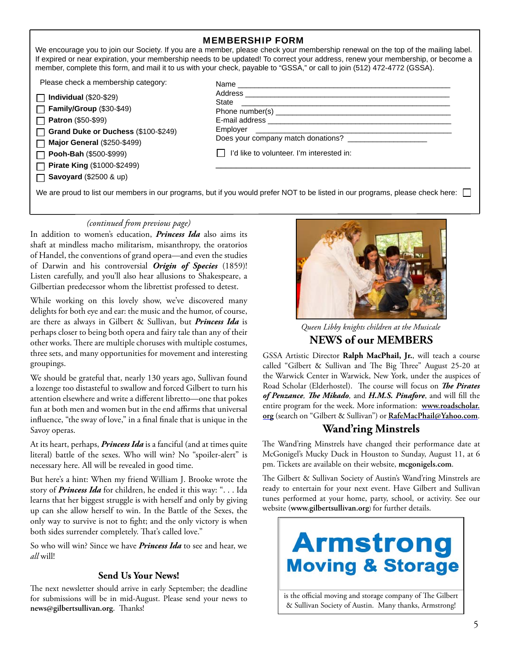| <b>MEMBERSHIP FORM</b> |  |
|------------------------|--|
|------------------------|--|

We encourage you to join our Society. If you are a member, please check your membership renewal on the top of the mailing label. If expired or near expiration, your membership needs to be updated! To correct your address, renew your membership, or become a member, complete this form, and mail it to us with your check, payable to "GSSA," or call to join (512) 472-4772 (GSSA).

Please check a membership category:

| $\Box$ Individual (\$20-\$29) |
|-------------------------------|
| $\Box$ EamibulCraus (000.040  |

**Family/Group** (\$30-\$49) **Patron** (\$50-\$99)

**Grand Duke or Duchess** (\$100-\$249) П

**Major General** (\$250-\$499) П

**Pooh-Bah** (\$500-\$999)

**Pirate King** (\$1000-\$2499)

**Savoyard** (\$2500 & up)

| State                                                    |  |
|----------------------------------------------------------|--|
|                                                          |  |
|                                                          |  |
|                                                          |  |
| Does your company match donations? _____________________ |  |
| I'd like to volunteer. I'm interested in:                |  |
|                                                          |  |

We are proud to list our members in our programs, but if you would prefer NOT to be listed in our programs, please check here:

*(continued from previous page)*

In addition to women's education, *Princess Ida* also aims its shaft at mindless macho militarism, misanthropy, the oratorios of Handel, the conventions of grand opera—and even the studies of Darwin and his controversial *Origin of Species* (1859)! Listen carefully, and you'll also hear allusions to Shakespeare, a Gilbertian predecessor whom the librettist professed to detest.

While working on this lovely show, we've discovered many delights for both eye and ear: the music and the humor, of course, are there as always in Gilbert & Sullivan, but *Princess Ida* is perhaps closer to being both opera and fairy tale than any of their other works. There are multiple choruses with multiple costumes, three sets, and many opportunities for movement and interesting groupings.

We should be grateful that, nearly 130 years ago, Sullivan found a lozenge too distasteful to swallow and forced Gilbert to turn his attention elsewhere and write a different libretto—one that pokes fun at both men and women but in the end affirms that universal influence, "the sway of love," in a final finale that is unique in the Savoy operas.

At its heart, perhaps, *Princess Ida* is a fanciful (and at times quite literal) battle of the sexes. Who will win? No "spoiler-alert" is necessary here. All will be revealed in good time.

But here's a hint: When my friend William J. Brooke wrote the story of *Princess Ida* for children, he ended it this way: ". . . Ida learns that her biggest struggle is with herself and only by giving up can she allow herself to win. In the Battle of the Sexes, the only way to survive is not to fight; and the only victory is when both sides surrender completely. That's called love."

So who will win? Since we have *Princess Ida* to see and hear, we *all* will!

#### **Send Us Your News!**

The next newsletter should arrive in early September; the deadline for submissions will be in mid-August. Please send your news to news@gilbertsullivan.org. Thanks!



*Queen Libby knights children at the Musicale*

**NEWS of our MEMBERS**

GSSA Artistic Director **Ralph MacPhail, Jr.**, will teach a course called "Gilbert & Sullivan and The Big Three" August 25-20 at the Warwick Center in Warwick, New York, under the auspices of Road Scholar (Elderhostel). The course will focus on *The Pirates* of Penzance, The Mikado, and H.M.S. Pinafore, and will fill the entire program for the week. More information: **www.roadscholar. org** (search on "Gilbert & Sullivan") or **RafeMacPhail@Yahoo.com**.

#### **Wand'ring Minstrels**

The Wand'ring Minstrels have changed their performance date at McGonigel's Mucky Duck in Houston to Sunday, August 11, at 6 pm. Tickets are available on their website, **mcgonigels.com**.

The Gilbert & Sullivan Society of Austin's Wand'ring Minstrels are ready to entertain for your next event. Have Gilbert and Sullivan tunes performed at your home, party, school, or activity. See our website (**www.gilbertsullivan.org**) for further details.



is the official moving and storage company of The Gilbert & Sullivan Society of Austin. Many thanks, Armstrong!